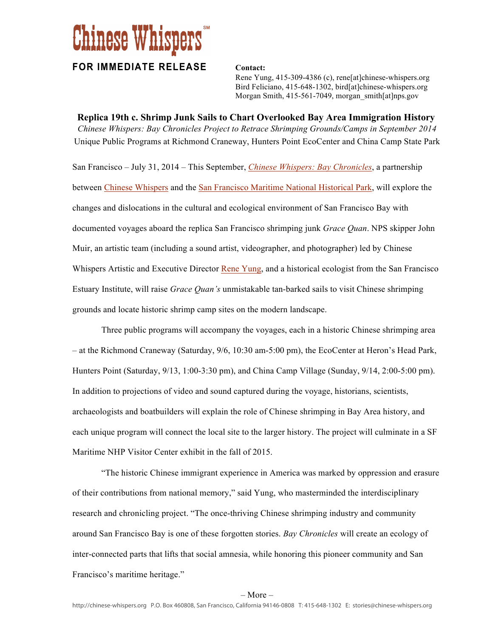## **Chinese Whispers**

## **FOR IMMEDIATE RELEASE Contact:**

Rene Yung, 415-309-4386 (c), rene[at]chinese-whispers.org Bird Feliciano, 415-648-1302, bird[at]chinese-whispers.org Morgan Smith, 415-561-7049, morgan\_smith[at]nps.gov

**Replica 19th c. Shrimp Junk Sails to Chart Overlooked Bay Area Immigration History**  *Chinese Whispers: Bay Chronicles Project to Retrace Shrimping Grounds/Camps in September 2014* Unique Public Programs at Richmond Craneway, Hunters Point EcoCenter and China Camp State Park

San Francisco – July 31, 2014 – This September, *[Chinese Whispers: Bay Chronicles](http://chinese-whispers.org/bay-chronicles/)*, a partnership between [Chinese Whispers](http://chinese-whispers.org) and the [San Francisco Maritime National Historical Park](http://www.nps.gov/safr/index.htm), will explore the changes and dislocations in the cultural and ecological environment of San Francisco Bay with documented voyages aboard the replica San Francisco shrimping junk *Grace Quan*. NPS skipper John Muir, an artistic team (including a sound artist, videographer, and photographer) led by Chinese Whispers Artistic and Executive Director [Rene Yung,](http://chinese-whispers.org/about/team/) and a historical ecologist from the San Francisco Estuary Institute, will raise *Grace Quan's* unmistakable tan-barked sails to visit Chinese shrimping grounds and locate historic shrimp camp sites on the modern landscape.

Three public programs will accompany the voyages, each in a historic Chinese shrimping area – at the Richmond Craneway (Saturday, 9/6, 10:30 am-5:00 pm), the EcoCenter at Heron's Head Park, Hunters Point (Saturday, 9/13, 1:00-3:30 pm), and China Camp Village (Sunday, 9/14, 2:00-5:00 pm). In addition to projections of video and sound captured during the voyage, historians, scientists, archaeologists and boatbuilders will explain the role of Chinese shrimping in Bay Area history, and each unique program will connect the local site to the larger history. The project will culminate in a SF Maritime NHP Visitor Center exhibit in the fall of 2015.

"The historic Chinese immigrant experience in America was marked by oppression and erasure of their contributions from national memory," said Yung, who masterminded the interdisciplinary research and chronicling project. "The once-thriving Chinese shrimping industry and community around San Francisco Bay is one of these forgotten stories. *Bay Chronicles* will create an ecology of inter-connected parts that lifts that social amnesia, while honoring this pioneer community and San Francisco's maritime heritage."

## – More –